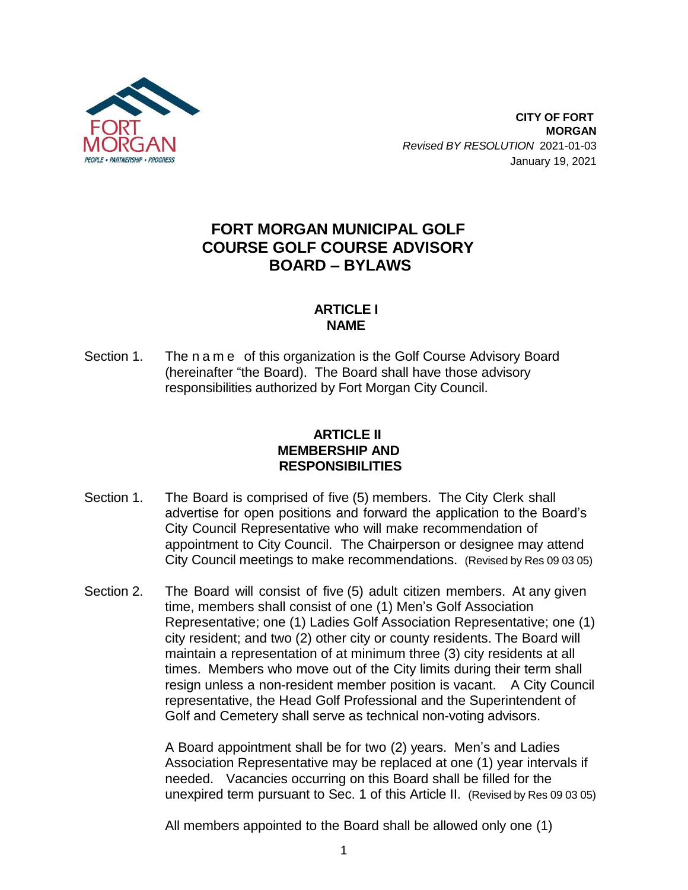

# **FORT MORGAN MUNICIPAL GOLF COURSE GOLF COURSE ADVISORY BOARD – BYLAWS**

## **ARTICLE I NAME**

Section 1. The n a m e of this organization is the Golf Course Advisory Board (hereinafter "the Board). The Board shall have those advisory responsibilities authorized by Fort Morgan City Council.

### **ARTICLE II MEMBERSHIP AND RESPONSIBILITIES**

- Section 1. The Board is comprised of five (5) members. The City Clerk shall advertise for open positions and forward the application to the Board's City Council Representative who will make recommendation of appointment to City Council. The Chairperson or designee may attend City Council meetings to make recommendations. (Revisedby Res 09 03 05)
- Section 2. The Board will consist of five (5) adult citizen members. At any given time, members shall consist of one (1) Men's Golf Association Representative; one (1) Ladies Golf Association Representative; one (1) city resident; and two (2) other city or county residents. The Board will maintain a representation of at minimum three (3) city residents at all times. Members who move out of the City limits during their term shall resign unless a non-resident member position is vacant. A City Council representative, the Head Golf Professional and the Superintendent of Golf and Cemetery shall serve as technical non-voting advisors.

A Board appointment shall be for two (2) years. Men's and Ladies Association Representative may be replaced at one (1) year intervals if needed. Vacancies occurring on this Board shall be filled for the unexpired term pursuant to Sec. 1 of this Article II. (Revisedby Res 09 03 05)

All members appointed to the Board shall be allowed only one (1)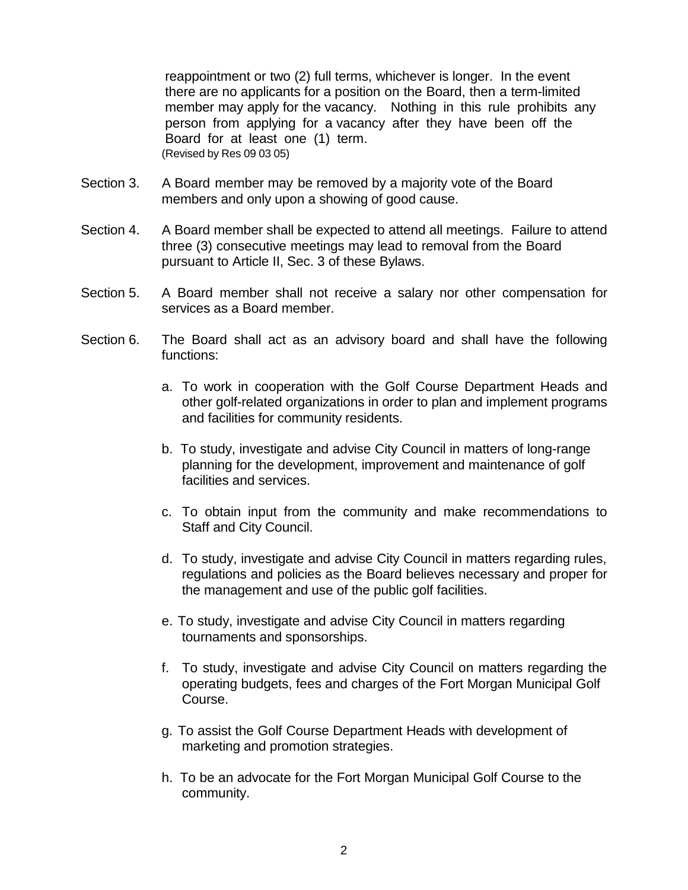reappointment or two (2) full terms, whichever is longer. In the event there are no applicants for a position on the Board, then a term-limited member may apply for the vacancy. Nothing in this rule prohibits any person from applying for a vacancy after they have been off the Board for at least one (1) term.  $(Revised by Res 09 03 05)$ 

- Section 3. A Board member may be removed by a majority vote of the Board members and only upon a showing of good cause.
- Section 4. A Board member shall be expected to attend all meetings. Failure to attend three (3) consecutive meetings may lead to removal from the Board pursuant to Article II, Sec. 3 of these Bylaws.
- Section 5. A Board member shall not receive a salary nor other compensation for services as a Board member.
- Section 6. The Board shall act as an advisory board and shall have the following functions:
	- a. To work in cooperation with the Golf Course Department Heads and other golf-related organizations in order to plan and implement programs and facilities for community residents.
	- b. To study, investigate and advise City Council in matters of long-range planning for the development, improvement and maintenance of golf facilities and services.
	- c. To obtain input from the community and make recommendations to Staff and City Council.
	- d. To study, investigate and advise City Council in matters regarding rules, regulations and policies as the Board believes necessary and proper for the management and use of the public golf facilities.
	- e. To study, investigate and advise City Council in matters regarding tournaments and sponsorships.
	- f. To study, investigate and advise City Council on matters regarding the operating budgets, fees and charges of the Fort Morgan Municipal Golf Course.
	- g. To assist the Golf Course Department Heads with development of marketing and promotion strategies.
	- h. To be an advocate for the Fort Morgan Municipal Golf Course to the community.